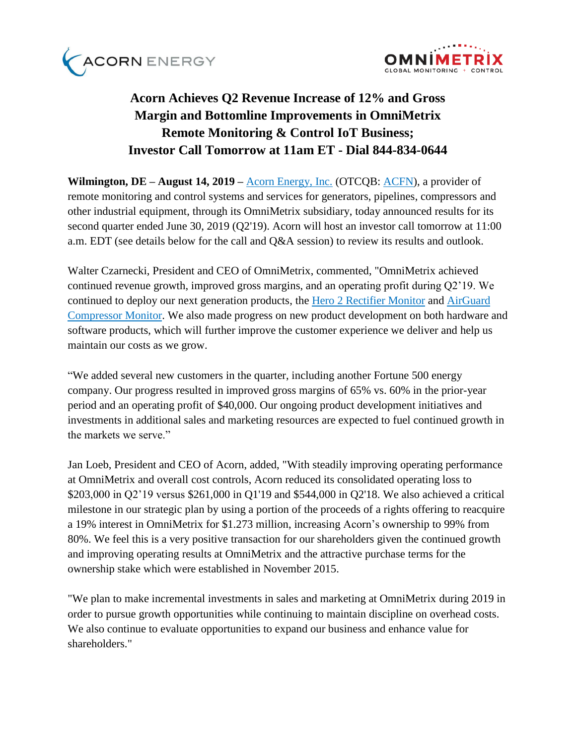



# **Acorn Achieves Q2 Revenue Increase of 12% and Gross Margin and Bottomline Improvements in OmniMetrix Remote Monitoring & Control IoT Business; Investor Call Tomorrow at 11am ET - Dial 844-834-0644**

**Wilmington, DE – August 14, 2019 –** [Acorn Energy, Inc.](http://acornenergy.com/) (OTCQB: [ACFN\)](https://finance.yahoo.com/quote/ACFN/profile?p=ACFN), a provider of remote monitoring and control systems and services for generators, pipelines, compressors and other industrial equipment, through its OmniMetrix subsidiary, today announced results for its second quarter ended June 30, 2019 (Q2'19). Acorn will host an investor call tomorrow at 11:00 a.m. EDT (see details below for the call and Q&A session) to review its results and outlook.

Walter Czarnecki, President and CEO of OmniMetrix, commented, "OmniMetrix achieved continued revenue growth, improved gross margins, and an operating profit during Q2'19. We continued to deploy our next generation products, the [Hero 2 Rectifier Monitor](https://www.omnimetrix.net/wp-content/uploads/2018/12/Hero-2-Spec-Sheet1018.pdf) and [AirGuard](https://www.omnimetrix.net/wp-content/uploads/2018/10/AIRGuard-Spec-Sheet.pdf)  [Compressor Monitor.](https://www.omnimetrix.net/wp-content/uploads/2018/10/AIRGuard-Spec-Sheet.pdf) We also made progress on new product development on both hardware and software products, which will further improve the customer experience we deliver and help us maintain our costs as we grow.

"We added several new customers in the quarter, including another Fortune 500 energy company. Our progress resulted in improved gross margins of 65% vs. 60% in the prior-year period and an operating profit of \$40,000. Our ongoing product development initiatives and investments in additional sales and marketing resources are expected to fuel continued growth in the markets we serve."

Jan Loeb, President and CEO of Acorn, added, "With steadily improving operating performance at OmniMetrix and overall cost controls, Acorn reduced its consolidated operating loss to \$203,000 in Q2'19 versus \$261,000 in Q1'19 and \$544,000 in Q2'18. We also achieved a critical milestone in our strategic plan by using a portion of the proceeds of a rights offering to reacquire a 19% interest in OmniMetrix for \$1.273 million, increasing Acorn's ownership to 99% from 80%. We feel this is a very positive transaction for our shareholders given the continued growth and improving operating results at OmniMetrix and the attractive purchase terms for the ownership stake which were established in November 2015.

"We plan to make incremental investments in sales and marketing at OmniMetrix during 2019 in order to pursue growth opportunities while continuing to maintain discipline on overhead costs. We also continue to evaluate opportunities to expand our business and enhance value for shareholders."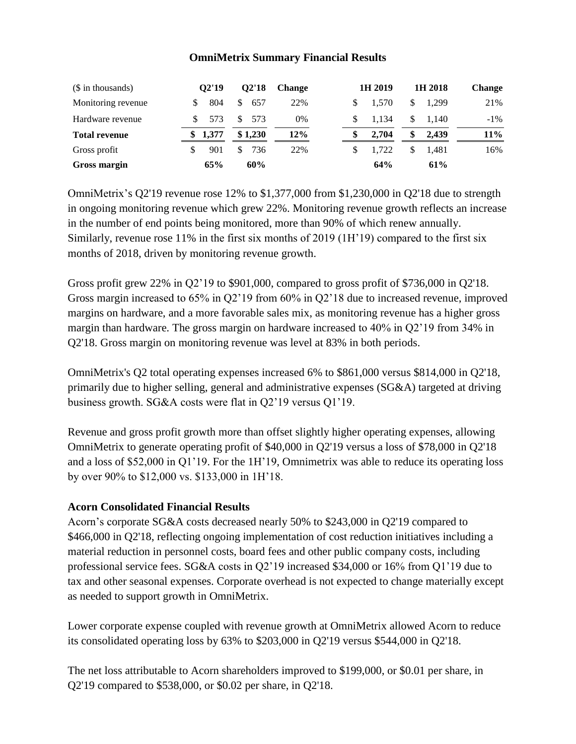#### **OmniMetrix Summary Financial Results**

| (\$ in thousands)    | 02'19        | 02'18                | <b>Change</b> | 1H 2019 | 1H 2018     | <b>Change</b> |
|----------------------|--------------|----------------------|---------------|---------|-------------|---------------|
| Monitoring revenue   | 804          | <sup>\$</sup><br>657 | 22%           | 1.570   | 1.299       | 21%           |
| Hardware revenue     | 573          | 573<br>S.            | 0%            | 1.134   | \$<br>1.140 | $-1\%$        |
| <b>Total revenue</b> | 1,377<br>SS. | \$1,230              | 12%           | 2.704   | \$<br>2.439 | $11\%$        |
| Gross profit         | 901          | 736                  | 22%           | 1.722   | 1.481       | 16%           |
| Gross margin         | 65%          | 60%                  |               | 64%     | 61%         |               |

OmniMetrix's Q2'19 revenue rose 12% to \$1,377,000 from \$1,230,000 in Q2'18 due to strength in ongoing monitoring revenue which grew 22%. Monitoring revenue growth reflects an increase in the number of end points being monitored, more than 90% of which renew annually. Similarly, revenue rose 11% in the first six months of 2019 (1H'19) compared to the first six months of 2018, driven by monitoring revenue growth.

Gross profit grew 22% in Q2'19 to \$901,000, compared to gross profit of \$736,000 in Q2'18. Gross margin increased to 65% in Q2'19 from 60% in Q2'18 due to increased revenue, improved margins on hardware, and a more favorable sales mix, as monitoring revenue has a higher gross margin than hardware. The gross margin on hardware increased to 40% in Q2'19 from 34% in Q2'18. Gross margin on monitoring revenue was level at 83% in both periods.

OmniMetrix's Q2 total operating expenses increased 6% to \$861,000 versus \$814,000 in Q2'18, primarily due to higher selling, general and administrative expenses (SG&A) targeted at driving business growth. SG&A costs were flat in Q2'19 versus Q1'19.

Revenue and gross profit growth more than offset slightly higher operating expenses, allowing OmniMetrix to generate operating profit of \$40,000 in Q2'19 versus a loss of \$78,000 in Q2'18 and a loss of \$52,000 in Q1'19. For the 1H'19, Omnimetrix was able to reduce its operating loss by over 90% to \$12,000 vs. \$133,000 in 1H'18.

### **Acorn Consolidated Financial Results**

Acorn's corporate SG&A costs decreased nearly 50% to \$243,000 in Q2'19 compared to \$466,000 in Q2'18, reflecting ongoing implementation of cost reduction initiatives including a material reduction in personnel costs, board fees and other public company costs, including professional service fees. SG&A costs in Q2'19 increased \$34,000 or 16% from Q1'19 due to tax and other seasonal expenses. Corporate overhead is not expected to change materially except as needed to support growth in OmniMetrix.

Lower corporate expense coupled with revenue growth at OmniMetrix allowed Acorn to reduce its consolidated operating loss by 63% to \$203,000 in Q2'19 versus \$544,000 in Q2'18.

The net loss attributable to Acorn shareholders improved to \$199,000, or \$0.01 per share, in Q2'19 compared to \$538,000, or \$0.02 per share, in Q2'18.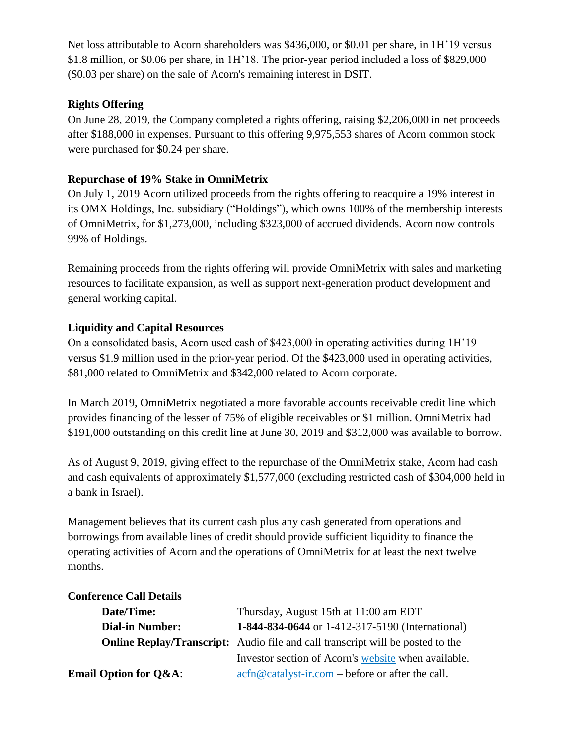Net loss attributable to Acorn shareholders was \$436,000, or \$0.01 per share, in 1H'19 versus \$1.8 million, or \$0.06 per share, in 1H'18. The prior-year period included a loss of \$829,000 (\$0.03 per share) on the sale of Acorn's remaining interest in DSIT.

### **Rights Offering**

On June 28, 2019, the Company completed a rights offering, raising \$2,206,000 in net proceeds after \$188,000 in expenses. Pursuant to this offering 9,975,553 shares of Acorn common stock were purchased for \$0.24 per share.

### **Repurchase of 19% Stake in OmniMetrix**

On July 1, 2019 Acorn utilized proceeds from the rights offering to reacquire a 19% interest in its OMX Holdings, Inc. subsidiary ("Holdings"), which owns 100% of the membership interests of OmniMetrix, for \$1,273,000, including \$323,000 of accrued dividends. Acorn now controls 99% of Holdings.

Remaining proceeds from the rights offering will provide OmniMetrix with sales and marketing resources to facilitate expansion, as well as support next-generation product development and general working capital.

### **Liquidity and Capital Resources**

On a consolidated basis, Acorn used cash of \$423,000 in operating activities during 1H'19 versus \$1.9 million used in the prior-year period. Of the \$423,000 used in operating activities, \$81,000 related to OmniMetrix and \$342,000 related to Acorn corporate.

In March 2019, OmniMetrix negotiated a more favorable accounts receivable credit line which provides financing of the lesser of 75% of eligible receivables or \$1 million. OmniMetrix had \$191,000 outstanding on this credit line at June 30, 2019 and \$312,000 was available to borrow.

As of August 9, 2019, giving effect to the repurchase of the OmniMetrix stake, Acorn had cash and cash equivalents of approximately \$1,577,000 (excluding restricted cash of \$304,000 held in a bank in Israel).

Management believes that its current cash plus any cash generated from operations and borrowings from available lines of credit should provide sufficient liquidity to finance the operating activities of Acorn and the operations of OmniMetrix for at least the next twelve months.

## **Conference Call Details**

| Date/Time:                       | Thursday, August 15th at 11:00 am EDT                                                                                         |  |  |  |  |
|----------------------------------|-------------------------------------------------------------------------------------------------------------------------------|--|--|--|--|
| <b>Dial-in Number:</b>           | 1-844-834-0644 or 1-412-317-5190 (International)                                                                              |  |  |  |  |
|                                  | <b>Online Replay/Transcript:</b> Audio file and call transcript will be posted to the                                         |  |  |  |  |
|                                  | Investor section of Acorn's website when available.                                                                           |  |  |  |  |
| <b>Email Option for Q&amp;A:</b> | $\operatorname{acfn}\nolimits @ \operatorname{catalyst-ir}.\nolimits com - \operatorname{before}\nolimits$ or after the call. |  |  |  |  |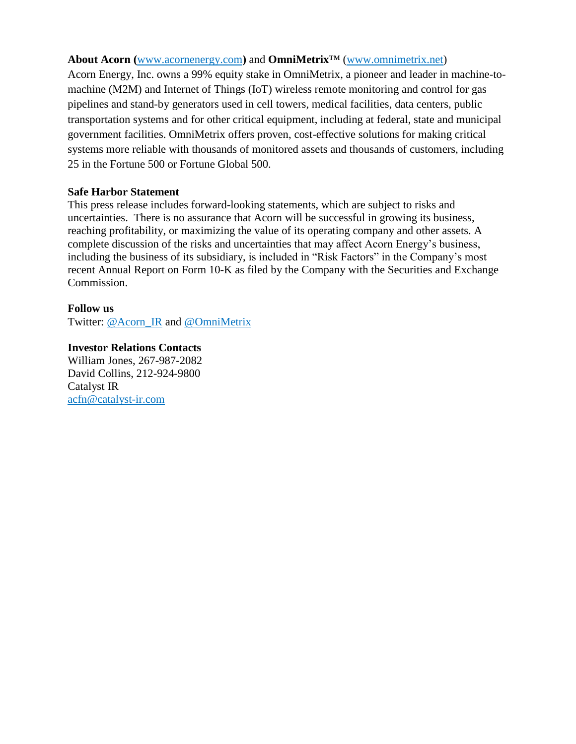#### **About Acorn (**[www.acornenergy.com](http://www.acornenergy.com/)**)** and **OmniMetrix**™ [\(www.omnimetrix.net\)](http://www.omnimetrix.net/)

Acorn Energy, Inc. owns a 99% equity stake in OmniMetrix, a pioneer and leader in machine-tomachine (M2M) and Internet of Things (IoT) wireless remote monitoring and control for gas pipelines and stand-by generators used in cell towers, medical facilities, data centers, public transportation systems and for other critical equipment, including at federal, state and municipal government facilities. OmniMetrix offers proven, cost-effective solutions for making critical systems more reliable with thousands of monitored assets and thousands of customers, including 25 in the Fortune 500 or Fortune Global 500.

### **Safe Harbor Statement**

This press release includes forward-looking statements, which are subject to risks and uncertainties. There is no assurance that Acorn will be successful in growing its business, reaching profitability, or maximizing the value of its operating company and other assets. A complete discussion of the risks and uncertainties that may affect Acorn Energy's business, including the business of its subsidiary, is included in "Risk Factors" in the Company's most recent Annual Report on Form 10-K as filed by the Company with the Securities and Exchange Commission.

### **Follow us**

Twitter: [@Acorn\\_IR](https://twitter.com/ACORN_IR) and [@OmniMetrix](https://twitter.com/OmniMetrix)

**Investor Relations Contacts** William Jones, 267-987-2082 David Collins, 212-924-9800 Catalyst IR [acfn@catalyst-ir.com](mailto:acfn@catalyst-ir.com)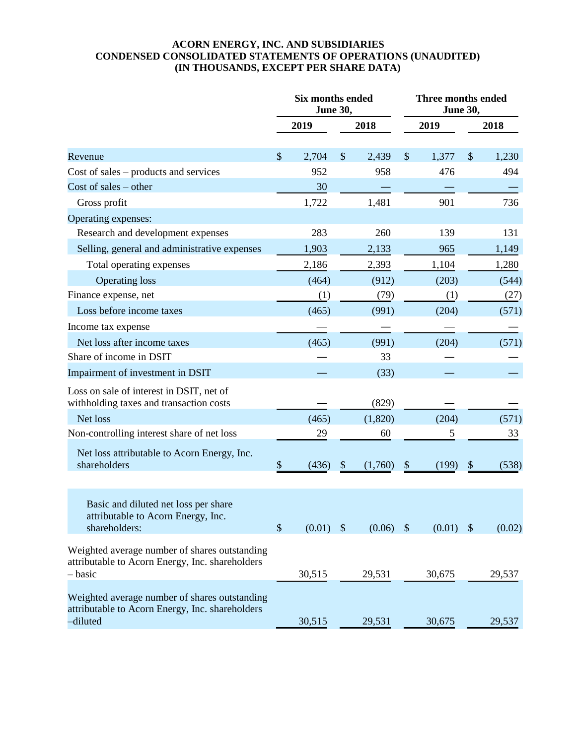#### **ACORN ENERGY, INC. AND SUBSIDIARIES CONDENSED CONSOLIDATED STATEMENTS OF OPERATIONS (UNAUDITED) (IN THOUSANDS, EXCEPT PER SHARE DATA)**

|                                                                                                              |                           | Six months ended<br>June 30, |       |         |                         | Three months ended<br><b>June 30,</b> |                           |        |  |
|--------------------------------------------------------------------------------------------------------------|---------------------------|------------------------------|-------|---------|-------------------------|---------------------------------------|---------------------------|--------|--|
|                                                                                                              |                           | 2019                         |       | 2018    |                         | 2019                                  |                           | 2018   |  |
| Revenue                                                                                                      | $\mathcal{S}$             | 2,704                        | \$    | 2,439   | \$                      | 1,377                                 | $\boldsymbol{\mathsf{S}}$ | 1,230  |  |
| Cost of sales $-$ products and services                                                                      |                           | 952                          |       | 958     |                         | 476                                   |                           | 494    |  |
| Cost of sales $-$ other                                                                                      |                           | 30                           |       |         |                         |                                       |                           |        |  |
| Gross profit                                                                                                 |                           | 1,722                        |       | 1,481   |                         | 901                                   |                           | 736    |  |
| Operating expenses:                                                                                          |                           |                              |       |         |                         |                                       |                           |        |  |
| Research and development expenses                                                                            |                           | 283                          |       | 260     |                         | 139                                   |                           | 131    |  |
| Selling, general and administrative expenses                                                                 |                           | 1,903                        |       | 2,133   |                         | 965                                   |                           | 1,149  |  |
| Total operating expenses                                                                                     |                           | 2,186                        |       | 2,393   |                         | 1,104                                 |                           | 1,280  |  |
| <b>Operating loss</b>                                                                                        |                           | (464)                        |       | (912)   |                         | (203)                                 |                           | (544)  |  |
| Finance expense, net                                                                                         |                           | (1)                          |       | (79)    |                         | (1)                                   |                           | (27)   |  |
| Loss before income taxes                                                                                     |                           | (465)                        |       | (991)   |                         | (204)                                 |                           | (571)  |  |
| Income tax expense                                                                                           |                           |                              |       |         |                         |                                       |                           |        |  |
| Net loss after income taxes                                                                                  |                           | (465)                        |       | (991)   |                         | (204)                                 |                           | (571)  |  |
| Share of income in DSIT                                                                                      |                           |                              |       | 33      |                         |                                       |                           |        |  |
| Impairment of investment in DSIT                                                                             |                           |                              |       | (33)    |                         |                                       |                           |        |  |
| Loss on sale of interest in DSIT, net of<br>withholding taxes and transaction costs                          |                           |                              |       | (829)   |                         |                                       |                           |        |  |
| Net loss                                                                                                     |                           | (465)                        |       | (1,820) |                         | (204)                                 |                           | (571)  |  |
| Non-controlling interest share of net loss                                                                   |                           | 29                           |       | 60      |                         | 5                                     |                           | 33     |  |
| Net loss attributable to Acorn Energy, Inc.<br>shareholders                                                  | \$                        | (436)                        | $\$\$ | (1,760) | $\$\$                   | (199)                                 | $\boldsymbol{\mathsf{S}}$ | (538)  |  |
| Basic and diluted net loss per share<br>attributable to Acorn Energy, Inc.<br>shareholders:                  | $\boldsymbol{\mathsf{S}}$ | $(0.01)$ \$                  |       | (0.06)  | $\sqrt[6]{\frac{1}{2}}$ | (0.01)                                | $\boldsymbol{\mathsf{S}}$ | (0.02) |  |
| Weighted average number of shares outstanding<br>attributable to Acorn Energy, Inc. shareholders<br>- basic  |                           | 30,515                       |       | 29,531  |                         | 30,675                                |                           | 29,537 |  |
| Weighted average number of shares outstanding<br>attributable to Acorn Energy, Inc. shareholders<br>-diluted |                           | 30,515                       |       | 29,531  |                         | 30,675                                |                           | 29,537 |  |